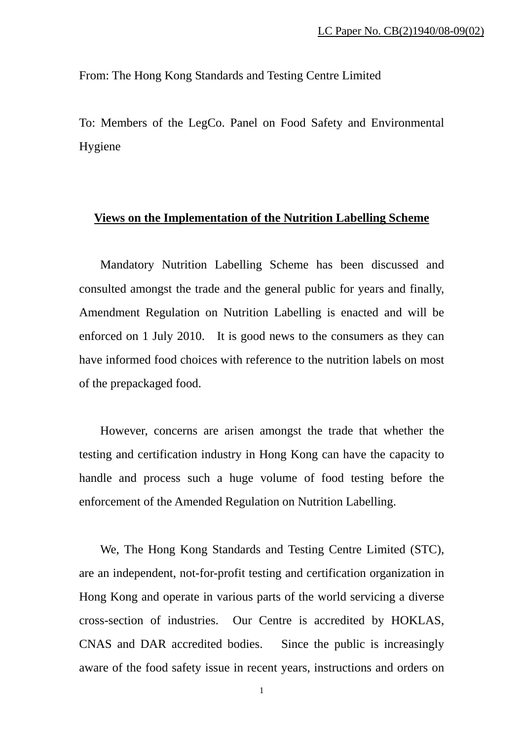From: The Hong Kong Standards and Testing Centre Limited

To: Members of the LegCo. Panel on Food Safety and Environmental Hygiene

## **Views on the Implementation of the Nutrition Labelling Scheme**

Mandatory Nutrition Labelling Scheme has been discussed and consulted amongst the trade and the general public for years and finally, Amendment Regulation on Nutrition Labelling is enacted and will be enforced on 1 July 2010. It is good news to the consumers as they can have informed food choices with reference to the nutrition labels on most of the prepackaged food.

However, concerns are arisen amongst the trade that whether the testing and certification industry in Hong Kong can have the capacity to handle and process such a huge volume of food testing before the enforcement of the Amended Regulation on Nutrition Labelling.

We, The Hong Kong Standards and Testing Centre Limited (STC), are an independent, not-for-profit testing and certification organization in Hong Kong and operate in various parts of the world servicing a diverse cross-section of industries. Our Centre is accredited by HOKLAS, CNAS and DAR accredited bodies. Since the public is increasingly aware of the food safety issue in recent years, instructions and orders on